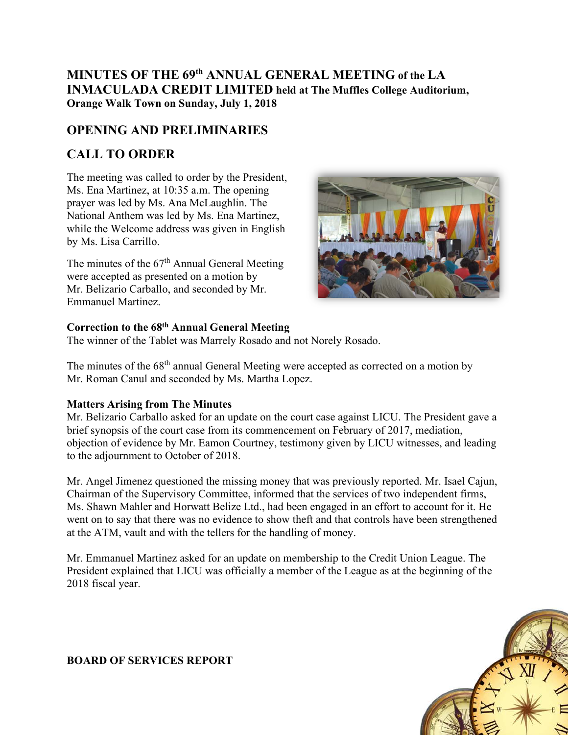## **MINUTES OF THE 69th ANNUAL GENERAL MEETING of the LA INMACULADA CREDIT LIMITED held at The Muffles College Auditorium, Orange Walk Town on Sunday, July 1, 2018**

# **OPENING AND PRELIMINARIES**

# **CALL TO ORDER**

The meeting was called to order by the President, Ms. Ena Martinez, at 10:35 a.m. The opening prayer was led by Ms. Ana McLaughlin. The National Anthem was led by Ms. Ena Martinez, while the Welcome address was given in English by Ms. Lisa Carrillo.

The minutes of the 67<sup>th</sup> Annual General Meeting were accepted as presented on a motion by Mr. Belizario Carballo, and seconded by Mr. Emmanuel Martinez.



### **Correction to the 68th Annual General Meeting**

The winner of the Tablet was Marrely Rosado and not Norely Rosado.

The minutes of the 68<sup>th</sup> annual General Meeting were accepted as corrected on a motion by Mr. Roman Canul and seconded by Ms. Martha Lopez.

### **Matters Arising from The Minutes**

Mr. Belizario Carballo asked for an update on the court case against LICU. The President gave a brief synopsis of the court case from its commencement on February of 2017, mediation, objection of evidence by Mr. Eamon Courtney, testimony given by LICU witnesses, and leading to the adjournment to October of 2018.

Mr. Angel Jimenez questioned the missing money that was previously reported. Mr. Isael Cajun, Chairman of the Supervisory Committee, informed that the services of two independent firms, Ms. Shawn Mahler and Horwatt Belize Ltd., had been engaged in an effort to account for it. He went on to say that there was no evidence to show theft and that controls have been strengthened at the ATM, vault and with the tellers for the handling of money.

Mr. Emmanuel Martinez asked for an update on membership to the Credit Union League. The President explained that LICU was officially a member of the League as at the beginning of the 2018 fiscal year.



### **BOARD OF SERVICES REPORT**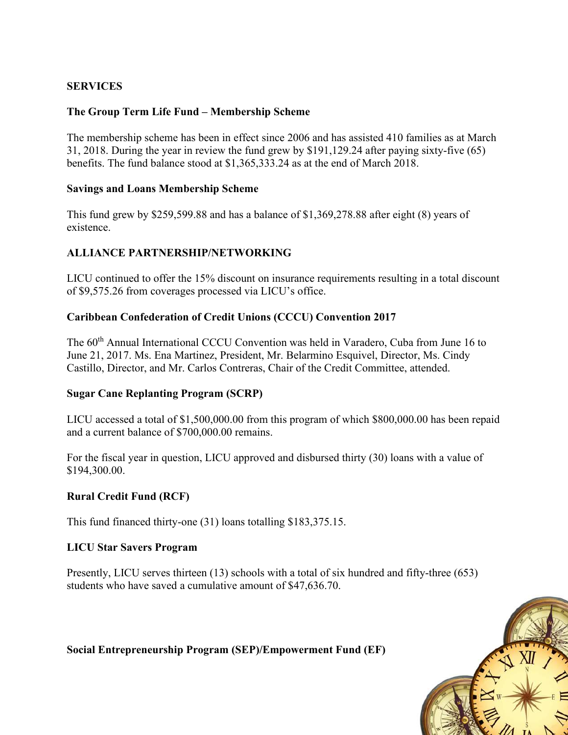#### **SERVICES**

#### **The Group Term Life Fund – Membership Scheme**

The membership scheme has been in effect since 2006 and has assisted 410 families as at March 31, 2018. During the year in review the fund grew by \$191,129.24 after paying sixty-five (65) benefits. The fund balance stood at \$1,365,333.24 as at the end of March 2018.

#### **Savings and Loans Membership Scheme**

This fund grew by \$259,599.88 and has a balance of \$1,369,278.88 after eight (8) years of existence.

### **ALLIANCE PARTNERSHIP/NETWORKING**

LICU continued to offer the 15% discount on insurance requirements resulting in a total discount of \$9,575.26 from coverages processed via LICU's office.

#### **Caribbean Confederation of Credit Unions (CCCU) Convention 2017**

The 60<sup>th</sup> Annual International CCCU Convention was held in Varadero, Cuba from June 16 to June 21, 2017. Ms. Ena Martinez, President, Mr. Belarmino Esquivel, Director, Ms. Cindy Castillo, Director, and Mr. Carlos Contreras, Chair of the Credit Committee, attended.

#### **Sugar Cane Replanting Program (SCRP)**

LICU accessed a total of \$1,500,000.00 from this program of which \$800,000.00 has been repaid and a current balance of \$700,000.00 remains.

For the fiscal year in question, LICU approved and disbursed thirty (30) loans with a value of \$194,300.00.

#### **Rural Credit Fund (RCF)**

This fund financed thirty-one (31) loans totalling \$183,375.15.

#### **LICU Star Savers Program**

Presently, LICU serves thirteen (13) schools with a total of six hundred and fifty-three (653) students who have saved a cumulative amount of \$47,636.70.



**Social Entrepreneurship Program (SEP)/Empowerment Fund (EF)**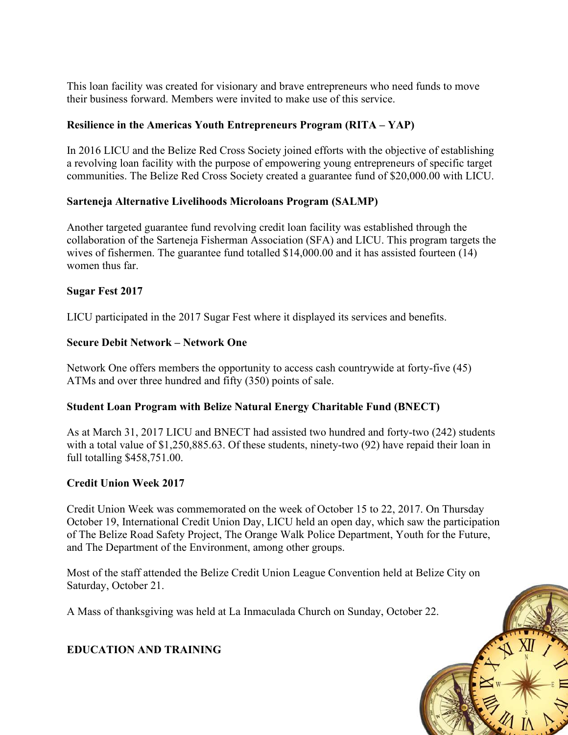This loan facility was created for visionary and brave entrepreneurs who need funds to move their business forward. Members were invited to make use of this service.

### **Resilience in the Americas Youth Entrepreneurs Program (RITA – YAP)**

In 2016 LICU and the Belize Red Cross Society joined efforts with the objective of establishing a revolving loan facility with the purpose of empowering young entrepreneurs of specific target communities. The Belize Red Cross Society created a guarantee fund of \$20,000.00 with LICU.

### **Sarteneja Alternative Livelihoods Microloans Program (SALMP)**

Another targeted guarantee fund revolving credit loan facility was established through the collaboration of the Sarteneja Fisherman Association (SFA) and LICU. This program targets the wives of fishermen. The guarantee fund totalled \$14,000.00 and it has assisted fourteen (14) women thus far.

### **Sugar Fest 2017**

LICU participated in the 2017 Sugar Fest where it displayed its services and benefits.

### **Secure Debit Network – Network One**

Network One offers members the opportunity to access cash countrywide at forty-five (45) ATMs and over three hundred and fifty (350) points of sale.

### **Student Loan Program with Belize Natural Energy Charitable Fund (BNECT)**

As at March 31, 2017 LICU and BNECT had assisted two hundred and forty-two (242) students with a total value of \$1,250,885.63. Of these students, ninety-two (92) have repaid their loan in full totalling \$458,751.00.

### **Credit Union Week 2017**

Credit Union Week was commemorated on the week of October 15 to 22, 2017. On Thursday October 19, International Credit Union Day, LICU held an open day, which saw the participation of The Belize Road Safety Project, The Orange Walk Police Department, Youth for the Future, and The Department of the Environment, among other groups.

Most of the staff attended the Belize Credit Union League Convention held at Belize City on Saturday, October 21.

A Mass of thanksgiving was held at La Inmaculada Church on Sunday, October 22.

**EDUCATION AND TRAINING**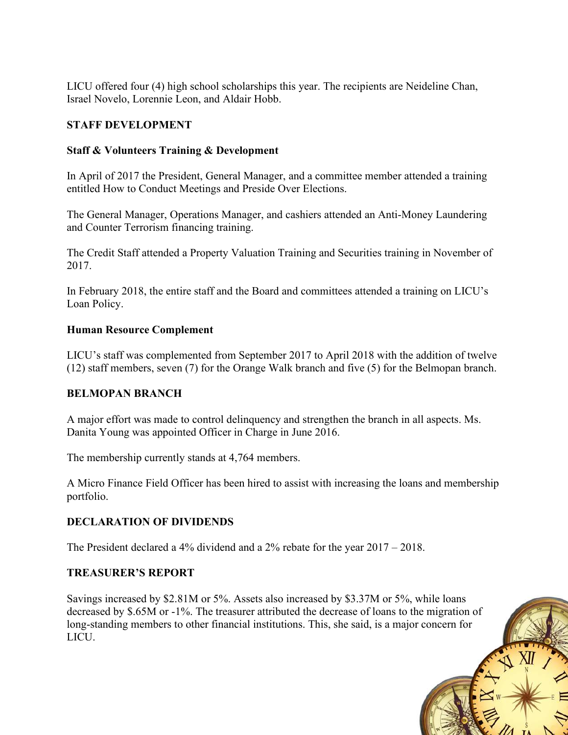LICU offered four (4) high school scholarships this year. The recipients are Neideline Chan, Israel Novelo, Lorennie Leon, and Aldair Hobb.

### **STAFF DEVELOPMENT**

### **Staff & Volunteers Training & Development**

In April of 2017 the President, General Manager, and a committee member attended a training entitled How to Conduct Meetings and Preside Over Elections.

The General Manager, Operations Manager, and cashiers attended an Anti-Money Laundering and Counter Terrorism financing training.

The Credit Staff attended a Property Valuation Training and Securities training in November of 2017.

In February 2018, the entire staff and the Board and committees attended a training on LICU's Loan Policy.

### **Human Resource Complement**

LICU's staff was complemented from September 2017 to April 2018 with the addition of twelve (12) staff members, seven (7) for the Orange Walk branch and five (5) for the Belmopan branch.

### **BELMOPAN BRANCH**

A major effort was made to control delinquency and strengthen the branch in all aspects. Ms. Danita Young was appointed Officer in Charge in June 2016.

The membership currently stands at 4,764 members.

A Micro Finance Field Officer has been hired to assist with increasing the loans and membership portfolio.

### **DECLARATION OF DIVIDENDS**

The President declared a 4% dividend and a 2% rebate for the year 2017 – 2018.

#### **TREASURER'S REPORT**

Savings increased by \$2.81M or 5%. Assets also increased by \$3.37M or 5%, while loans decreased by \$.65M or -1%. The treasurer attributed the decrease of loans to the migration of long-standing members to other financial institutions. This, she said, is a major concern for LICU.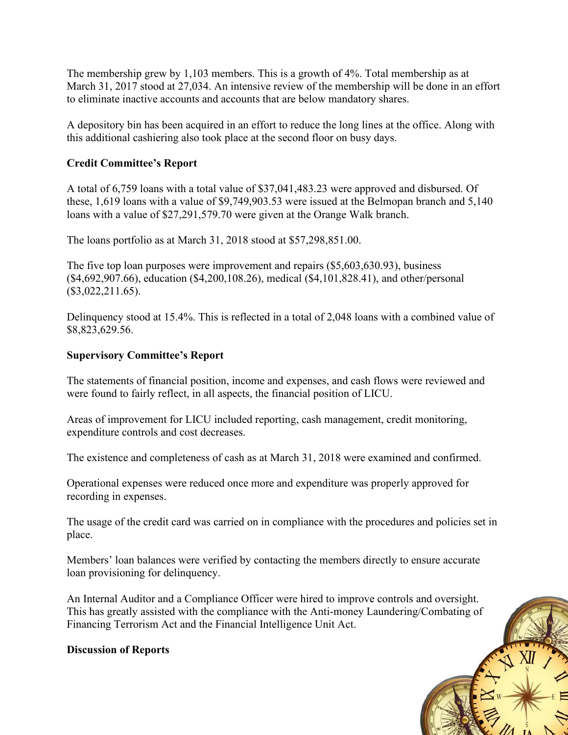The membership grew by 1,103 members. This is a growth of 4%. Total membership as at March 31, 2017 stood at 27,034. An intensive review of the membership will be done in an effort to eliminate inactive accounts and accounts that are below mandatory shares.

A depository bin has been acquired in an effort to reduce the long lines at the office. Along with this additional cashiering also took place at the second floor on busy days.

### **Credit Committee's Report**

A total of 6,759 loans with a total value of \$37,041,483.23 were approved and disbursed. Of these, 1,619 loans with a value of \$9,749,903.53 were issued at the Belmopan branch and 5,140 loans with a value of \$27,291,579.70 were given at the Orange Walk branch.

The loans portfolio as at March 31, 2018 stood at \$57,298,851.00.

The five top loan purposes were improvement and repairs (\$5,603,630.93), business (\$4,692,907.66), education (\$4,200,108.26), medical (\$4,101,828.41), and other/personal (\$3,022,211.65).

Delinquency stood at 15.4%. This is reflected in a total of 2,048 loans with a combined value of \$8,823,629.56.

#### **Supervisory Committee's Report**

The statements of financial position, income and expenses, and cash flows were reviewed and were found to fairly reflect, in all aspects, the financial position of LICU.

Areas of improvement for LICU included reporting, cash management, credit monitoring, expenditure controls and cost decreases.

The existence and completeness of cash as at March 31, 2018 were examined and confirmed.

Operational expenses were reduced once more and expenditure was properly approved for recording in expenses.

The usage of the credit card was carried on in compliance with the procedures and policies set in place.

Members' loan balances were verified by contacting the members directly to ensure accurate loan provisioning for delinquency.

An Internal Auditor and a Compliance Officer were hired to improve controls and oversight. This has greatly assisted with the compliance with the Anti-money Laundering/Combating of Financing Terrorism Act and the Financial Intelligence Unit Act.

#### **Discussion of Reports**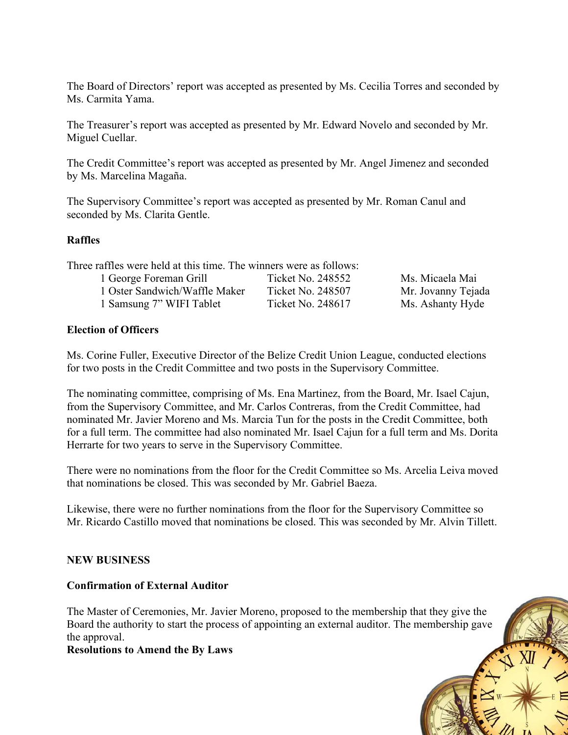The Board of Directors' report was accepted as presented by Ms. Cecilia Torres and seconded by Ms. Carmita Yama.

The Treasurer's report was accepted as presented by Mr. Edward Novelo and seconded by Mr. Miguel Cuellar.

The Credit Committee's report was accepted as presented by Mr. Angel Jimenez and seconded by Ms. Marcelina Magaña.

The Supervisory Committee's report was accepted as presented by Mr. Roman Canul and seconded by Ms. Clarita Gentle.

#### **Raffles**

| Three raffles were held at this time. The winners were as follows: |                    |
|--------------------------------------------------------------------|--------------------|
|                                                                    | Ms. Micaela Mai    |
| Ticket No. 248507                                                  | Mr. Jovanny Tejada |
| Ticket No. 248617                                                  | Ms. Ashanty Hyde   |
|                                                                    | Ticket No. 248552  |

#### **Election of Officers**

Ms. Corine Fuller, Executive Director of the Belize Credit Union League, conducted elections for two posts in the Credit Committee and two posts in the Supervisory Committee.

The nominating committee, comprising of Ms. Ena Martinez, from the Board, Mr. Isael Cajun, from the Supervisory Committee, and Mr. Carlos Contreras, from the Credit Committee, had nominated Mr. Javier Moreno and Ms. Marcia Tun for the posts in the Credit Committee, both for a full term. The committee had also nominated Mr. Isael Cajun for a full term and Ms. Dorita Herrarte for two years to serve in the Supervisory Committee.

There were no nominations from the floor for the Credit Committee so Ms. Arcelia Leiva moved that nominations be closed. This was seconded by Mr. Gabriel Baeza.

Likewise, there were no further nominations from the floor for the Supervisory Committee so Mr. Ricardo Castillo moved that nominations be closed. This was seconded by Mr. Alvin Tillett.

#### **NEW BUSINESS**

#### **Confirmation of External Auditor**

The Master of Ceremonies, Mr. Javier Moreno, proposed to the membership that they give the Board the authority to start the process of appointing an external auditor. The membership gave the approval.

#### **Resolutions to Amend the By Laws**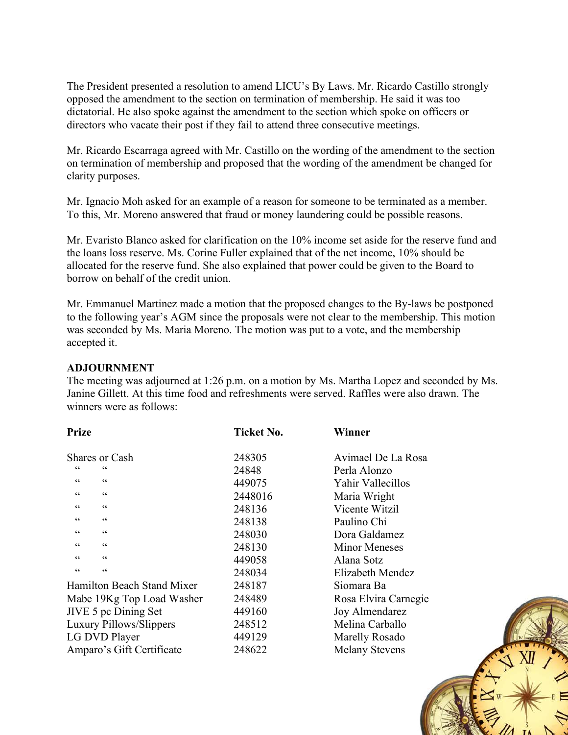The President presented a resolution to amend LICU's By Laws. Mr. Ricardo Castillo strongly opposed the amendment to the section on termination of membership. He said it was too dictatorial. He also spoke against the amendment to the section which spoke on officers or directors who vacate their post if they fail to attend three consecutive meetings.

Mr. Ricardo Escarraga agreed with Mr. Castillo on the wording of the amendment to the section on termination of membership and proposed that the wording of the amendment be changed for clarity purposes.

Mr. Ignacio Moh asked for an example of a reason for someone to be terminated as a member. To this, Mr. Moreno answered that fraud or money laundering could be possible reasons.

Mr. Evaristo Blanco asked for clarification on the 10% income set aside for the reserve fund and the loans loss reserve. Ms. Corine Fuller explained that of the net income, 10% should be allocated for the reserve fund. She also explained that power could be given to the Board to borrow on behalf of the credit union.

Mr. Emmanuel Martinez made a motion that the proposed changes to the By-laws be postponed to the following year's AGM since the proposals were not clear to the membership. This motion was seconded by Ms. Maria Moreno. The motion was put to a vote, and the membership accepted it.

#### **ADJOURNMENT**

The meeting was adjourned at 1:26 p.m. on a motion by Ms. Martha Lopez and seconded by Ms. Janine Gillett. At this time food and refreshments were served. Raffles were also drawn. The winners were as follows:

| <b>Prize</b>                        | <b>Ticket No.</b> | Winner                |  |
|-------------------------------------|-------------------|-----------------------|--|
| Shares or Cash                      | 248305            | Avimael De La Rosa    |  |
| 66<br>66                            | 24848             | Perla Alonzo          |  |
| $\mbox{\bf G}$<br>66                | 449075            | Yahir Vallecillos     |  |
| 66<br>66                            | 2448016           | Maria Wright          |  |
| 66<br>66                            | 248136            | Vicente Witzil        |  |
| 66<br>66                            | 248138            | Paulino Chi           |  |
| 66<br>66                            | 248030            | Dora Galdamez         |  |
| $\textsf{G}\,\textsf{G}$<br>66      | 248130            | <b>Minor Meneses</b>  |  |
| $\textsf{G}\,\textsf{G}$<br>66      | 449058            | Alana Sotz            |  |
| $\zeta$ $\zeta$<br>$\zeta \, \zeta$ | 248034            | Elizabeth Mendez      |  |
| Hamilton Beach Stand Mixer          | 248187            | Siomara Ba            |  |
| Mabe 19Kg Top Load Washer           | 248489            | Rosa Elvira Carnegie  |  |
| JIVE 5 pc Dining Set                | 449160            | Joy Almendarez        |  |
| Luxury Pillows/Slippers             | 248512            | Melina Carballo       |  |
| LG DVD Player                       | 449129            | <b>Marelly Rosado</b> |  |
| Amparo's Gift Certificate           | 248622            | <b>Melany Stevens</b> |  |